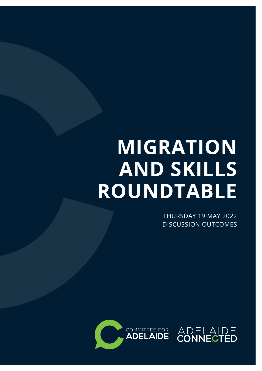# **MIGRATION AND SKILLS ROUNDTABLE**

THURSDAY 19 MAY 2022 DISCUSSION OUTCOMES

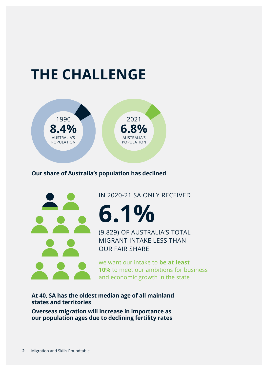## **THE CHALLENGE**



#### **Our share of Australia's population has declined**



IN 2020-21 SA ONLY RECEIVED

**6.1%**

(9,829) OF AUSTRALIA'S TOTAL MIGRANT INTAKE LESS THAN OUR FAIR SHARE

we want our intake to **be at least 10%** to meet our ambitions for business and economic growth in the state

**At 40, SA has the oldest median age of all mainland states and territories**

**Overseas migration will increase in importance as our population ages due to declining fertility rates**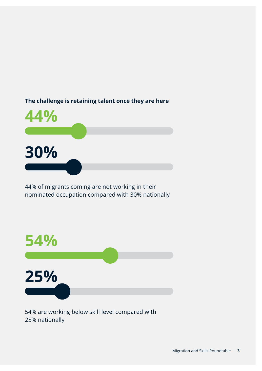

44% of migrants coming are not working in their nominated occupation compared with 30% nationally



54% are working below skill level compared with 25% nationally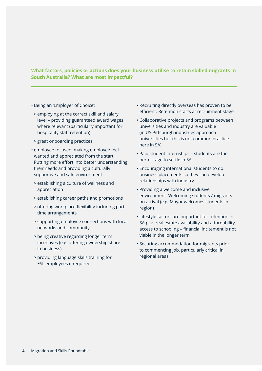#### **What factors, policies or actions does your business utilise to retain skilled migrants in South Australia? What are most impactful?**

- Being an 'Employer of Choice':
- > employing at the correct skill and salary level – providing guaranteed award wages where relevant (particularly important for hospitality staff retention)
- > great onboarding practices
- employee focused, making employee feel wanted and appreciated from the start. Putting more effort into better understanding their needs and providing a culturally supportive and safe environment
- > establishing a culture of wellness and appreciation
- > establishing career paths and promotions
- > offering workplace flexibility including part time arrangements
- > supporting employee connections with local networks and community
- > being creative regarding longer term incentives (e.g. offering ownership share in business)
- > providing language skills training for ESL employees if required
- Recruiting directly overseas has proven to be efficient. Retention starts at recruitment stage
- Collaborative projects and programs between universities and industry are valuable (in US Pittsburgh industries approach universities but this is not common practice here in SA)
- Paid student internships students are the perfect age to settle in SA
- Encouraging international students to do business placements so they can develop relationships with industry
- Providing a welcome and inclusive environment. Welcoming students / migrants on arrival (e.g. Mayor welcomes students in region)
- Lifestyle factors are important for retention in SA plus real estate availability and affordability, access to schooling – financial incitement is not viable in the longer term
- Securing accommodation for migrants prior to commencing job, particularly critical in regional areas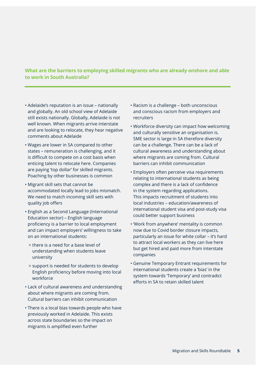#### **What are the barriers to employing skilled migrants who are already onshore and able to work in South Australia?**

- Adelaide's reputation is an issue nationally and globally. An old school view of Adelaide still exists nationally. Globally, Adelaide is not well known. When migrants arrive interstate and are looking to relocate, they hear negative comments about Adelaide
- Wages are lower in SA compared to other states – remuneration is challenging, and it is difficult to compete on a cost basis when enticing talent to relocate here. Companies are paying 'top dollar' for skilled migrants. Poaching by other businesses is common
- Migrant skill sets that cannot be accommodated locally lead to jobs mismatch. We need to match incoming skill sets with quality job offers
- English as a Second Language (International Education sector) – English language proficiency is a barrier to local employment and can impact employers' willingness to take on an international students:
	- > there is a need for a base level of understanding when students leave university
	- > support is needed for students to develop English proficiency before moving into local workforce
- Lack of cultural awareness and understanding about where migrants are coming from. Cultural barriers can inhibit communication
- There is a local bias towards people who have previously worked in Adelaide. This exists across state boundaries so the impact on migrants is amplified even further
- Racism is a challenge both unconscious and conscious racism from employers and recruiters
- Workforce diversity can impact how welcoming and culturally sensitive an organisation is. SME sector is large in SA therefore diversity can be a challenge. There can be a lack of cultural awareness and understanding about where migrants are coming from. Cultural barriers can inhibit communication
- Employers often perceive visa requirements relating to international students as being complex and there is a lack of confidence in the system regarding applications. This impacts recruitment of students into local industries – education/awareness of international student visa and post-study visa could better support business
- 'Work from anywhere' mentality is common now due to Covid border closure impacts, particularly an issue for white collar – it's hard to attract local workers as they can live here but get hired and paid more from interstate companies
- Genuine Temporary Entrant requirements for international students create a 'bias' in the system towards 'Temporary' and contradict efforts in SA to retain skilled talent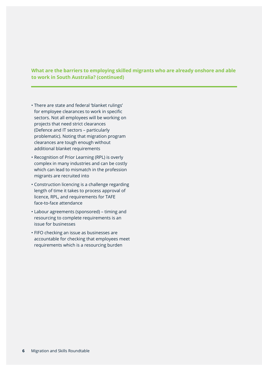#### **What are the barriers to employing skilled migrants who are already onshore and able to work in South Australia? (continued)**

- There are state and federal 'blanket rulings' for employee clearances to work in specific sectors. Not all employees will be working on projects that need strict clearances (Defence and IT sectors – particularly problematic). Noting that migration program clearances are tough enough without additional blanket requirements
- Recognition of Prior Learning (RPL) is overly complex in many industries and can be costly which can lead to mismatch in the profession migrants are recruited into
- Construction licencing is a challenge regarding length of time it takes to process approval of licence, RPL, and requirements for TAFE face-to-face attendance
- Labour agreements (sponsored) timing and resourcing to complete requirements is an issue for businesses
- FIFO checking an issue as businesses are accountable for checking that employees meet requirements which is a resourcing burden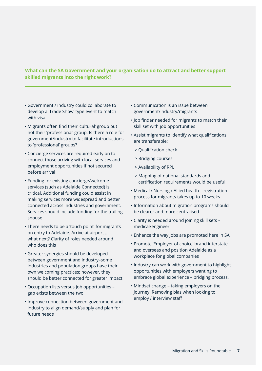#### **What can the SA Government and your organisation do to attract and better support skilled migrants into the right work?**

- Government / industry could collaborate to develop a 'Trade Show' type event to match with visa
- Migrants often find their 'cultural' group but not their 'professional' group. Is there a role for government/industry to facilitate introductions to 'professional' groups?
- Concierge services are required early on to connect those arriving with local services and employment opportunities if not secured before arrival
- Funding for existing concierge/welcome services (such as Adelaide Connected) is critical. Additional funding could assist in making services more widespread and better connected across industries and government. Services should include funding for the trailing spouse
- There needs to be a 'touch point' for migrants on entry to Adelaide. Arrive at airport … what next? Clarity of roles needed around who does this
- Greater synergies should be developed between government and industry–some industries and population groups have their own welcoming practices; however, they should be better connected for greater impact
- Occupation lists versus job opportunities gap exists between the two
- Improve connection between government and industry to align demand/supply and plan for future needs
- Communication is an issue between government/industry/migrants
- Job finder needed for migrants to match their skill set with job opportunities
- Assist migrants to identify what qualifications are transferable:
	- > Qualification check
	- > Bridging courses
	- > Availability of RPL
	- > Mapping of national standards and certification requirements would be useful
- Medical / Nursing / Allied health registration process for migrants takes up to 10 weeks
- Information about migration programs should be clearer and more centralised
- Clarity is needed around joining skill sets medical/engineer
- Enhance the way jobs are promoted here in SA
- Promote 'Employer of choice' brand interstate and overseas and position Adelaide as a workplace for global companies
- Industry can work with government to highlight opportunities with employers wanting to embrace global experience – bridging process.
- Mindset change taking employers on the journey. Removing bias when looking to employ / interview staff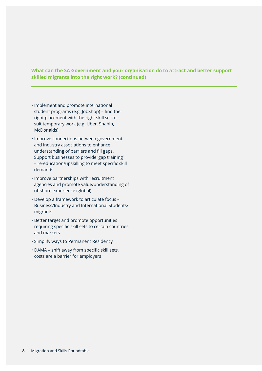#### **What can the SA Government and your organisation do to attract and better support skilled migrants into the right work? (continued)**

- Implement and promote international student programs (e.g. JobShop) – find the right placement with the right skill set to suit temporary work (e.g. Uber, Shahin, McDonalds)
- Improve connections between government and industry associations to enhance understanding of barriers and fill gaps. Support businesses to provide 'gap training' – re-education/upskilling to meet specific skill demands
- Improve partnerships with recruitment agencies and promote value/understanding of offshore experience (global)
- Develop a framework to articulate focus Business/Industry and International Students/ migrants
- Better target and promote opportunities requiring specific skill sets to certain countries and markets
- Simplify ways to Permanent Residency
- DAMA shift away from specific skill sets, costs are a barrier for employers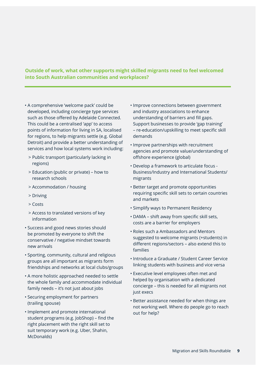#### **Outside of work, what other supports might skilled migrants need to feel welcomed into South Australian communities and workplaces?**

- A comprehensive 'welcome pack' could be developed, including concierge type services such as those offered by Adelaide Connected. This could be a centralised 'app' to access points of information for living in SA, localised for regions, to help migrants settle (e.g. Global Detroit) and provide a better understanding of services and how local systems work including:
	- > Public transport (particularly lacking in regions)
	- > Education (public or private) how to research schools
	- > Accommodation / housing
	- > Driving
	- > Costs
	- > Access to translated versions of key information
- Success and good news stories should be promoted by everyone to shift the conservative / negative mindset towards new arrivals
- Sporting, community, cultural and religious groups are all important as migrants form friendships and networks at local clubs/groups
- A more holistic approached needed to settle the whole family and accommodate individual family needs – it's not just about jobs
- Securing employment for partners (trailing spouse)
- Implement and promote international student programs (e.g. JobShop) – find the right placement with the right skill set to suit temporary work (e.g. Uber, Shahin, McDonalds)
- Improve connections between government and industry associations to enhance understanding of barriers and fill gaps. Support businesses to provide 'gap training' – re-education/upskilling to meet specific skill demands
- Improve partnerships with recruitment agencies and promote value/understanding of offshore experience (global)
- Develop a framework to articulate focus Business/Industry and International Students/ migrants
- Better target and promote opportunities requiring specific skill sets to certain countries and markets
- Simplify ways to Permanent Residency
- DAMA shift away from specific skill sets, costs are a barrier for employers
- Roles such a Ambassadors and Mentors suggested to welcome migrants (+students) in different regions/sectors – also extend this to families
- Introduce a Graduate / Student Career Service linking students with business and vice versa
- Executive level employees often met and helped by organisation with a dedicated concierge – this is needed for all migrants not just execs
- Better assistance needed for when things are not working well. Where do people go to reach out for help?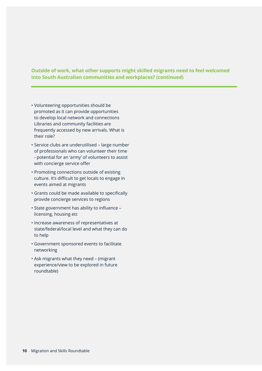#### **Outside of work, what other supports might skilled migrants need to feel welcomed into South Australian communities and workplaces? (continued)**

- Volunteering opportunities should be promoted as it can provide opportunities to develop local network and connections Libraries and community facilities are frequently accessed by new arrivals. What is their role?
- Service clubs are underutilised large number of professionals who can volunteer their time - potential for an 'army' of volunteers to assist with concierge service offer
- Promoting connections outside of existing culture. It's difficult to get locals to engage in events aimed at migrants
- Grants could be made available to specifically provide concierge services to regions
- State government has ability to influence licensing, housing etc
- Increase awareness of representatives at state/federal/local level and what they can do to help
- Government sponsored events to facilitate networking
- Ask migrants what they need (migrant experience/view to be explored in future roundtable)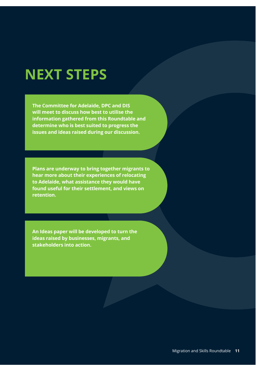### **NEXT STEPS**

**The Committee for Adelaide, DPC and DIS will meet to discuss how best to utilise the information gathered from this Roundtable and determine who is best suited to progress the issues and ideas raised during our discussion.**

**Plans are underway to bring together migrants to hear more about their experiences of relocating to Adelaide, what assistance they would have found useful for their settlement, and views on retention.**

**An Ideas paper will be developed to turn the ideas raised by businesses, migrants, and stakeholders into action.**